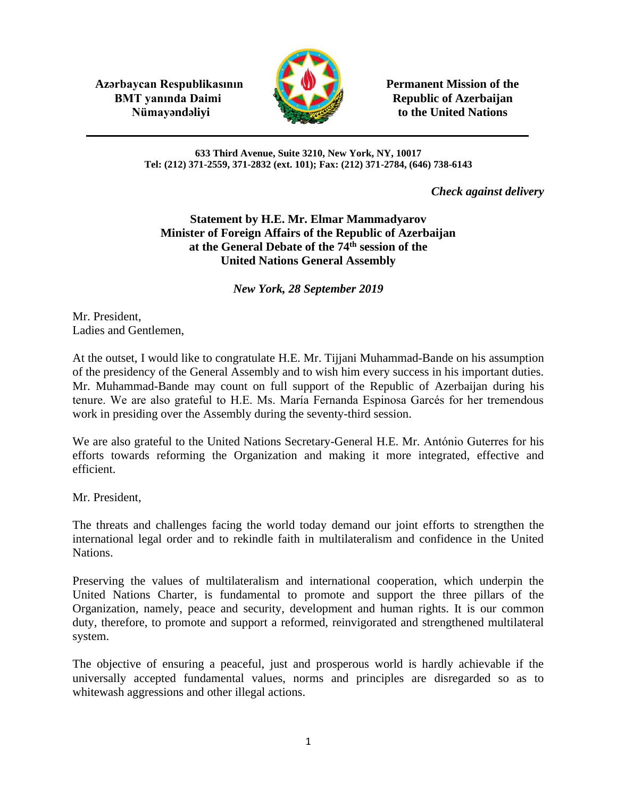**Azərbaycan Respublikasının Permanent Mission of the BMT yanında Daimi Republic of Azerbaijan** 



**Nümayəndəliyi** to the United Nations

#### **633 Third Avenue, Suite 3210, New York, NY, 10017 Tel: (212) 371-2559, 371-2832 (ext. 101); Fax: (212) 371-2784, (646) 738-6143**

*Check against delivery*

# **Statement by H.E. Mr. Elmar Mammadyarov Minister of Foreign Affairs of the Republic of Azerbaijan at the General Debate of the 74th session of the United Nations General Assembly**

*New York, 28 September 2019* 

Mr. President, Ladies and Gentlemen,

At the outset, I would like to congratulate H.E. Mr. Tijjani Muhammad-Bande on his assumption of the presidency of the General Assembly and to wish him every success in his important duties. Mr. Muhammad-Bande may count on full support of the Republic of Azerbaijan during his tenure. We are also grateful to H.E. Ms. María Fernanda Espinosa Garcés for her tremendous work in presiding over the Assembly during the seventy-third session.

We are also grateful to the United Nations Secretary-General H.E. Mr. António Guterres for his efforts towards reforming the Organization and making it more integrated, effective and efficient.

Mr. President,

The threats and challenges facing the world today demand our joint efforts to strengthen the international legal order and to rekindle faith in multilateralism and confidence in the United Nations.

Preserving the values of multilateralism and international cooperation, which underpin the United Nations Charter, is fundamental to promote and support the three pillars of the Organization, namely, peace and security, development and human rights. It is our common duty, therefore, to promote and support a reformed, reinvigorated and strengthened multilateral system.

The objective of ensuring a peaceful, just and prosperous world is hardly achievable if the universally accepted fundamental values, norms and principles are disregarded so as to whitewash aggressions and other illegal actions.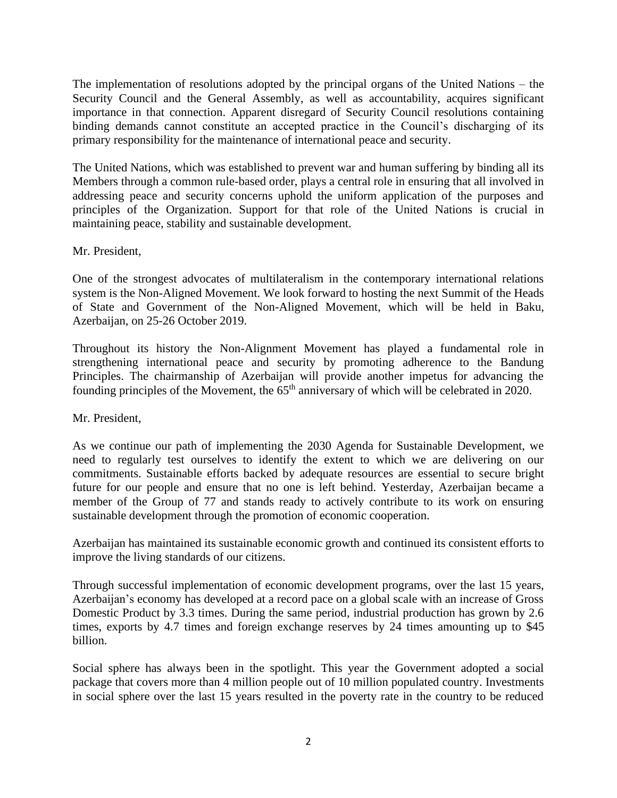The implementation of resolutions adopted by the principal organs of the United Nations – the Security Council and the General Assembly, as well as accountability, acquires significant importance in that connection. Apparent disregard of Security Council resolutions containing binding demands cannot constitute an accepted practice in the Council's discharging of its primary responsibility for the maintenance of international peace and security.

The United Nations, which was established to prevent war and human suffering by binding all its Members through a common rule-based order, plays a central role in ensuring that all involved in addressing peace and security concerns uphold the uniform application of the purposes and principles of the Organization. Support for that role of the United Nations is crucial in maintaining peace, stability and sustainable development.

## Mr. President,

One of the strongest advocates of multilateralism in the contemporary international relations system is the Non-Aligned Movement. We look forward to hosting the next Summit of the Heads of State and Government of the Non-Aligned Movement, which will be held in Baku, Azerbaijan, on 25-26 October 2019.

Throughout its history the Non-Alignment Movement has played a fundamental role in strengthening international peace and security by promoting adherence to the Bandung Principles. The chairmanship of Azerbaijan will provide another impetus for advancing the founding principles of the Movement, the  $65<sup>th</sup>$  anniversary of which will be celebrated in 2020.

## Mr. President,

As we continue our path of implementing the 2030 Agenda for Sustainable Development, we need to regularly test ourselves to identify the extent to which we are delivering on our commitments. Sustainable efforts backed by adequate resources are essential to secure bright future for our people and ensure that no one is left behind. Yesterday, Azerbaijan became a member of the Group of 77 and stands ready to actively contribute to its work on ensuring sustainable development through the promotion of economic cooperation.

Azerbaijan has maintained its sustainable economic growth and continued its consistent efforts to improve the living standards of our citizens.

Through successful implementation of economic development programs, over the last 15 years, Azerbaijan's economy has developed at a record pace on a global scale with an increase of Gross Domestic Product by 3.3 times. During the same period, industrial production has grown by 2.6 times, exports by 4.7 times and foreign exchange reserves by 24 times amounting up to \$45 billion.

Social sphere has always been in the spotlight. This year the Government adopted a social package that covers more than 4 million people out of 10 million populated country. Investments in social sphere over the last 15 years resulted in the poverty rate in the country to be reduced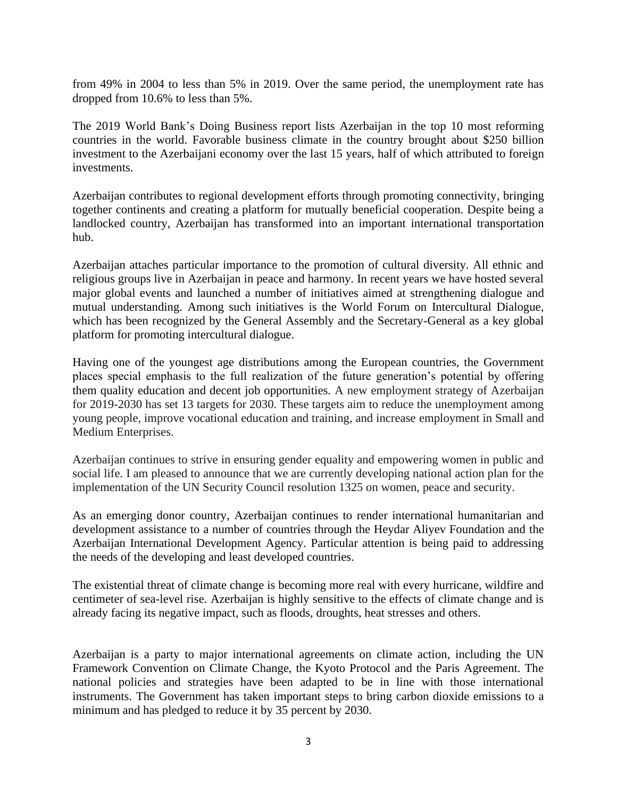from 49% in 2004 to less than 5% in 2019. Over the same period, the unemployment rate has dropped from 10.6% to less than 5%.

The 2019 World Bank's Doing Business report lists Azerbaijan in the top 10 most reforming countries in the world. Favorable business climate in the country brought about \$250 billion investment to the Azerbaijani economy over the last 15 years, half of which attributed to foreign investments.

Azerbaijan contributes to regional development efforts through promoting connectivity, bringing together continents and creating a platform for mutually beneficial cooperation. Despite being a landlocked country, Azerbaijan has transformed into an important international transportation hub.

Azerbaijan attaches particular importance to the promotion of cultural diversity. All ethnic and religious groups live in Azerbaijan in peace and harmony. In recent years we have hosted several major global events and launched a number of initiatives aimed at strengthening dialogue and mutual understanding. Among such initiatives is the World Forum on Intercultural Dialogue, which has been recognized by the General Assembly and the Secretary-General as a key global platform for promoting intercultural dialogue.

Having one of the youngest age distributions among the European countries, the Government places special emphasis to the full realization of the future generation's potential by offering them quality education and decent job opportunities. A new employment strategy of Azerbaijan for 2019-2030 has set 13 targets for 2030. These targets aim to reduce the unemployment among young people, improve vocational education and training, and increase employment in Small and Medium Enterprises.

Azerbaijan continues to strive in ensuring gender equality and empowering women in public and social life. I am pleased to announce that we are currently developing national action plan for the implementation of the UN Security Council resolution 1325 on women, peace and security.

As an emerging donor country, Azerbaijan continues to render international humanitarian and development assistance to a number of countries through the Heydar Aliyev Foundation and the Azerbaijan International Development Agency. Particular attention is being paid to addressing the needs of the developing and least developed countries.

The existential threat of climate change is becoming more real with every hurricane, wildfire and centimeter of sea-level rise. Azerbaijan is highly sensitive to the effects of climate change and is already facing its negative impact, such as floods, droughts, heat stresses and others.

Azerbaijan is a party to major international agreements on climate action, including the UN Framework Convention on Climate Change, the Kyoto Protocol and the Paris Agreement. The national policies and strategies have been adapted to be in line with those international instruments. The Government has taken important steps to bring carbon dioxide emissions to a minimum and has pledged to reduce it by 35 percent by 2030.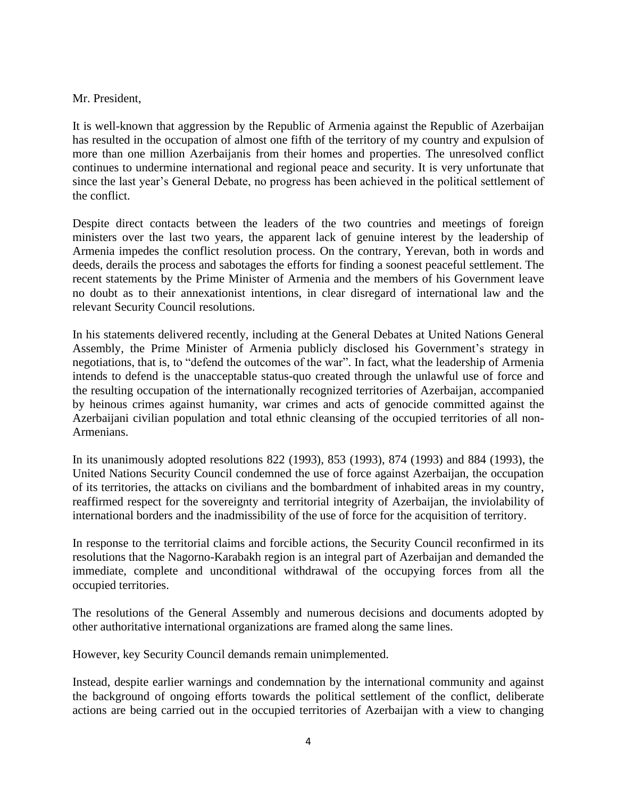#### Mr. President,

It is well-known that aggression by the Republic of Armenia against the Republic of Azerbaijan has resulted in the occupation of almost one fifth of the territory of my country and expulsion of more than one million Azerbaijanis from their homes and properties. The unresolved conflict continues to undermine international and regional peace and security. It is very unfortunate that since the last year's General Debate, no progress has been achieved in the political settlement of the conflict.

Despite direct contacts between the leaders of the two countries and meetings of foreign ministers over the last two years, the apparent lack of genuine interest by the leadership of Armenia impedes the conflict resolution process. On the contrary, Yerevan, both in words and deeds, derails the process and sabotages the efforts for finding a soonest peaceful settlement. The recent statements by the Prime Minister of Armenia and the members of his Government leave no doubt as to their annexationist intentions, in clear disregard of international law and the relevant Security Council resolutions.

In his statements delivered recently, including at the General Debates at United Nations General Assembly, the Prime Minister of Armenia publicly disclosed his Government's strategy in negotiations, that is, to "defend the outcomes of the war". In fact, what the leadership of Armenia intends to defend is the unacceptable status-quo created through the unlawful use of force and the resulting occupation of the internationally recognized territories of Azerbaijan, accompanied by heinous crimes against humanity, war crimes and acts of genocide committed against the Azerbaijani civilian population and total ethnic cleansing of the occupied territories of all non-Armenians.

In its unanimously adopted resolutions 822 (1993), 853 (1993), 874 (1993) and 884 (1993), the United Nations Security Council condemned the use of force against Azerbaijan, the occupation of its territories, the attacks on civilians and the bombardment of inhabited areas in my country, reaffirmed respect for the sovereignty and territorial integrity of Azerbaijan, the inviolability of international borders and the inadmissibility of the use of force for the acquisition of territory.

In response to the territorial claims and forcible actions, the Security Council reconfirmed in its resolutions that the Nagorno-Karabakh region is an integral part of Azerbaijan and demanded the immediate, complete and unconditional withdrawal of the occupying forces from all the occupied territories.

The resolutions of the General Assembly and numerous decisions and documents adopted by other authoritative international organizations are framed along the same lines.

However, key Security Council demands remain unimplemented.

Instead, despite earlier warnings and condemnation by the international community and against the background of ongoing efforts towards the political settlement of the conflict, deliberate actions are being carried out in the occupied territories of Azerbaijan with a view to changing